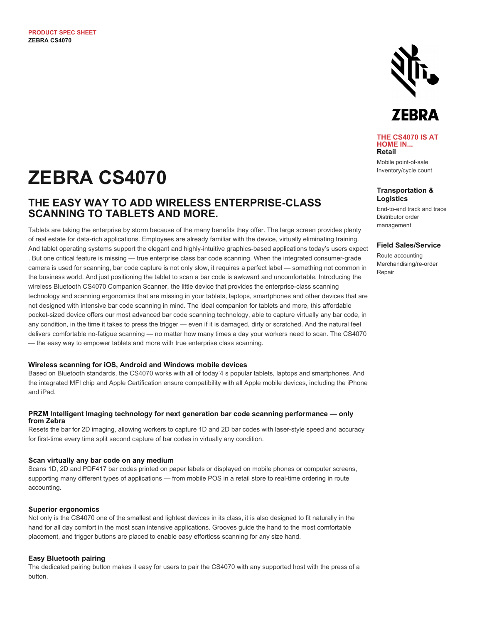

**THE CS4070 IS AT HOME IN... Retail**

Mobile point-of-sale Inventory/cycle count

#### **Transportation & Logistics**

End-to-end track and trace Distributor order management

#### **Field Sales/Service**

Route accounting Merchandising/re-order Repair

# **ZEBRA CS4070**

## **THE EASY WAY TO ADD WIRELESS ENTERPRISE-CLASS SCANNING TO TABLETS AND MORE.**

Tablets are taking the enterprise by storm because of the many benefits they offer. The large screen provides plenty of real estate for data-rich applications. Employees are already familiar with the device, virtually eliminating training. And tablet operating systems support the elegant and highly-intuitive graphics-based applications today's users expect . But one critical feature is missing — true enterprise class bar code scanning. When the integrated consumer-grade camera is used for scanning, bar code capture is not only slow, it requires a perfect label — something not common in the business world. And just positioning the tablet to scan a bar code is awkward and uncomfortable. Introducing the wireless Bluetooth CS4070 Companion Scanner, the little device that provides the enterprise-class scanning technology and scanning ergonomics that are missing in your tablets, laptops, smartphones and other devices that are not designed with intensive bar code scanning in mind. The ideal companion for tablets and more, this affordable pocket-sized device offers our most advanced bar code scanning technology, able to capture virtually any bar code, in any condition, in the time it takes to press the trigger — even if it is damaged, dirty or scratched. And the natural feel delivers comfortable no-fatigue scanning — no matter how many times a day your workers need to scan. The CS4070 — the easy way to empower tablets and more with true enterprise class scanning.

#### **Wireless scanning for iOS, Android and Windows mobile devices**

Based on Bluetooth standards, the CS4070 works with all of today'4 s popular tablets, laptops and smartphones. And the integrated MFI chip and Apple Certification ensure compatibility with all Apple mobile devices, including the iPhone and iPad.

#### **PRZM Intelligent Imaging technology for next generation bar code scanning performance — only from Zebra**

Resets the bar for 2D imaging, allowing workers to capture 1D and 2D bar codes with laser-style speed and accuracy for first-time every time split second capture of bar codes in virtually any condition.

#### **Scan virtually any bar code on any medium**

Scans 1D, 2D and PDF417 bar codes printed on paper labels or displayed on mobile phones or computer screens, supporting many different types of applications — from mobile POS in a retail store to real-time ordering in route accounting.

#### **Superior ergonomics**

Not only is the CS4070 one of the smallest and lightest devices in its class, it is also designed to fit naturally in the hand for all day comfort in the most scan intensive applications. Grooves guide the hand to the most comfortable placement, and trigger buttons are placed to enable easy effortless scanning for any size hand.

#### **Easy Bluetooth pairing**

The dedicated pairing button makes it easy for users to pair the CS4070 with any supported host with the press of a button.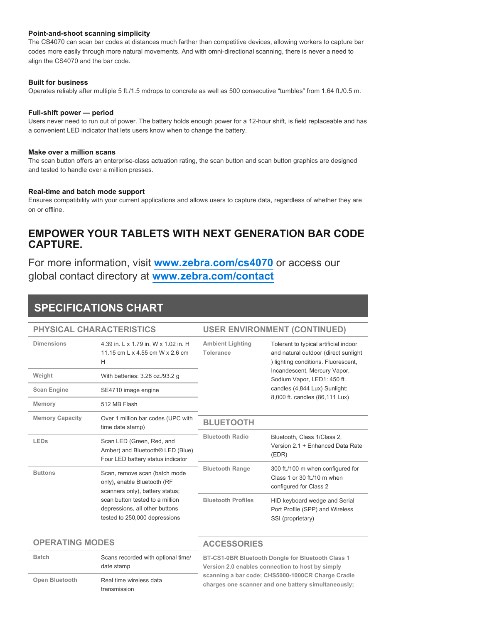#### **Point-and-shoot scanning simplicity**

The CS4070 can scan bar codes at distances much farther than competitive devices, allowing workers to capture bar codes more easily through more natural movements. And with omni-directional scanning, there is never a need to align the CS4070 and the bar code.

#### **Built for business**

Operates reliably after multiple 5 ft./1.5 mdrops to concrete as well as 500 consecutive "tumbles" from 1.64 ft./0.5 m.

#### **Full-shift power — period**

Users never need to run out of power. The battery holds enough power for a 12-hour shift, is field replaceable and has a convenient LED indicator that lets users know when to change the battery.

#### **Make over a million scans**

The scan button offers an enterprise-class actuation rating, the scan button and scan button graphics are designed and tested to handle over a million presses.

#### **Real-time and batch mode support**

Ensures compatibility with your current applications and allows users to capture data, regardless of whether they are on or offline.

### **EMPOWER YOUR TABLETS WITH NEXT GENERATION BAR CODE CAPTURE.**

For more information, visit **[www.zebra.com/cs4070](https://www.zebra.com/cs4070)** or access our global contact directory at **[www.zebra.com/contact](https://www.zebra.com/contact)**

## **SPECIFICATIONS CHART**

| PHYSICAL CHARACTERISTICS |                                                                                                                                                                                                       | <b>USER ENVIRONMENT (CONTINUED)</b>  |                                                                                                                                                                                                                                                        |
|--------------------------|-------------------------------------------------------------------------------------------------------------------------------------------------------------------------------------------------------|--------------------------------------|--------------------------------------------------------------------------------------------------------------------------------------------------------------------------------------------------------------------------------------------------------|
| <b>Dimensions</b>        | 4.39 in. L x 1.79 in. W x 1.02 in. H<br>11.15 cm L x 4.55 cm W x 2.6 cm<br>H                                                                                                                          | <b>Ambient Lighting</b><br>Tolerance | Tolerant to typical artificial indoor<br>and natural outdoor (direct sunlight<br>) lighting conditions. Fluorescent,<br>Incandescent, Mercury Vapor,<br>Sodium Vapor, LED1: 450 ft.<br>candles (4,844 Lux) Sunlight:<br>8,000 ft. candles (86,111 Lux) |
| Weight                   | With batteries: 3.28 oz./93.2 g                                                                                                                                                                       |                                      |                                                                                                                                                                                                                                                        |
| <b>Scan Engine</b>       | SE4710 image engine                                                                                                                                                                                   |                                      |                                                                                                                                                                                                                                                        |
| Memory                   | 512 MB Flash                                                                                                                                                                                          |                                      |                                                                                                                                                                                                                                                        |
| <b>Memory Capacity</b>   | Over 1 million bar codes (UPC with<br>time date stamp)                                                                                                                                                | <b>BLUETOOTH</b>                     |                                                                                                                                                                                                                                                        |
| <b>LEDs</b>              | Scan LED (Green, Red, and<br>Amber) and Bluetooth <sup>®</sup> LED (Blue)<br>Four LED battery status indicator                                                                                        | <b>Bluetooth Radio</b>               | Bluetooth, Class 1/Class 2,<br>Version 2.1 + Enhanced Data Rate<br>(EDR)                                                                                                                                                                               |
| <b>Buttons</b>           | Scan, remove scan (batch mode<br>only), enable Bluetooth (RF<br>scanners only), battery status;<br>scan button tested to a million<br>depressions, all other buttons<br>tested to 250,000 depressions | <b>Bluetooth Range</b>               | 300 ft./100 m when configured for<br>Class 1 or 30 ft./10 m when<br>configured for Class 2                                                                                                                                                             |
|                          |                                                                                                                                                                                                       | <b>Bluetooth Profiles</b>            | HID keyboard wedge and Serial<br>Port Profile (SPP) and Wireless<br>SSI (proprietary)                                                                                                                                                                  |

| <b>OPERATING MODES</b> |                                                  | <b>ACCESSORIES</b>                                                                                           |  |
|------------------------|--------------------------------------------------|--------------------------------------------------------------------------------------------------------------|--|
| <b>Batch</b>           | Scans recorded with optional time/<br>date stamp | <b>BT-CS1-0BR Bluetooth Dongle for Bluetooth Class 1</b><br>Version 2.0 enables connection to host by simply |  |
| Open Bluetooth         | Real time wireless data<br>transmission          | scanning a bar code; CHS5000-1000CR Charge Cradle<br>charges one scanner and one battery simultaneously;     |  |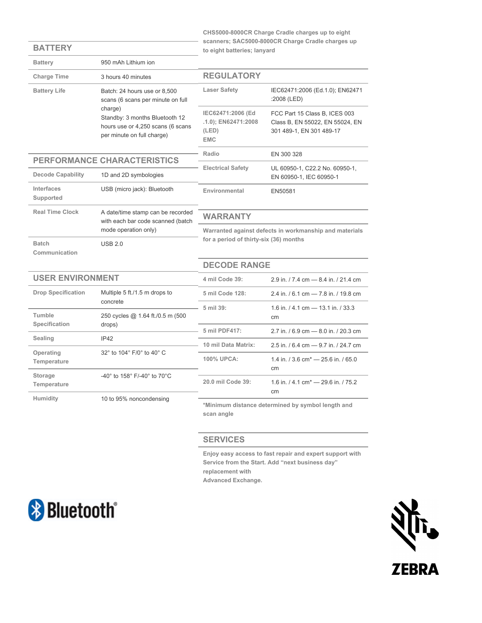**CHS5000-8000CR Charge Cradle charges up to eight scanners; SAC5000-8000CR Charge Cradle charges up to eight batteries; lanyard**

| <b>Battery</b>                | 950 mAh Lithium ion                                                                                                                                                               |                                                                                                                         |                                                                                              |
|-------------------------------|-----------------------------------------------------------------------------------------------------------------------------------------------------------------------------------|-------------------------------------------------------------------------------------------------------------------------|----------------------------------------------------------------------------------------------|
| <b>Charge Time</b>            | 3 hours 40 minutes                                                                                                                                                                | <b>REGULATORY</b>                                                                                                       |                                                                                              |
| <b>Battery Life</b>           | Batch: 24 hours use or 8.500<br>scans (6 scans per minute on full<br>charge)<br>Standby: 3 months Bluetooth 12<br>hours use or 4,250 scans (6 scans<br>per minute on full charge) | <b>Laser Safety</b>                                                                                                     | IEC62471:2006 (Ed.1.0); EN62471<br>:2008 (LED)                                               |
|                               |                                                                                                                                                                                   | IEC62471:2006 (Ed<br>.1.0); EN62471:2008<br>(LED)<br><b>EMC</b>                                                         | FCC Part 15 Class B, ICES 003<br>Class B, EN 55022, EN 55024, EN<br>301 489-1, EN 301 489-17 |
|                               |                                                                                                                                                                                   | Radio                                                                                                                   | EN 300 328                                                                                   |
| PERFORMANCE CHARACTERISTICS   |                                                                                                                                                                                   | <b>Electrical Safety</b>                                                                                                | UL 60950-1, C22.2 No. 60950-1,                                                               |
| <b>Decode Capability</b>      | 1D and 2D symbologies                                                                                                                                                             |                                                                                                                         | EN 60950-1, IEC 60950-1                                                                      |
| Interfaces<br>Supported       | USB (micro jack): Bluetooth                                                                                                                                                       | Environmental                                                                                                           | EN50581                                                                                      |
| <b>Real Time Clock</b>        | A date/time stamp can be recorded<br>with each bar code scanned (batch                                                                                                            | <b>WARRANTY</b>                                                                                                         |                                                                                              |
|                               | mode operation only)                                                                                                                                                              | Warranted against defects in workmanship and materials<br>for a period of thirty-six (36) months<br><b>DECODE RANGE</b> |                                                                                              |
| <b>Batch</b><br>Communication | <b>USB 2.0</b>                                                                                                                                                                    |                                                                                                                         |                                                                                              |
|                               |                                                                                                                                                                                   |                                                                                                                         |                                                                                              |
| <b>USER ENVIRONMENT</b>       |                                                                                                                                                                                   | 4 mil Code 39:                                                                                                          | 2.9 in. / 7.4 cm - 8.4 in. / 21.4 cm                                                         |
| <b>Drop Specification</b>     | Multiple 5 ft./1.5 m drops to                                                                                                                                                     | 5 mil Code 128:                                                                                                         | 2.4 in. / 6.1 cm - 7.8 in. / 19.8 cm                                                         |
| Tumble                        | concrete<br>250 cycles @ 1.64 ft./0.5 m (500<br>drops)                                                                                                                            | 5 mil 39:                                                                                                               | 1.6 in. $/$ 4.1 cm – 13.1 in. $/$ 33.3<br>cm                                                 |
| <b>Specification</b>          |                                                                                                                                                                                   | 5 mil PDF417:                                                                                                           | 2.7 in. / 6.9 cm - 8.0 in. / 20.3 cm                                                         |
| Sealing                       | IP42                                                                                                                                                                              | 10 mil Data Matrix:                                                                                                     | 2.5 in. / 6.4 cm - 9.7 in. / 24.7 cm                                                         |
| Operating<br>Temperature      | 32° to 104° F/0° to 40° C                                                                                                                                                         | 100% UPCA:                                                                                                              | 1.4 in. / 3.6 cm <sup>*</sup> - 25.6 in. / 65.0<br>cm                                        |
| Storage<br>Temperature        | -40° to 158° F/-40° to 70°C                                                                                                                                                       | 20.0 mil Code 39:                                                                                                       | 1.6 in. / 4.1 cm <sup>*</sup> - 29.6 in. / 75.2<br>cm                                        |
| Humidity                      | 10 to 95% noncondensing                                                                                                                                                           | *Minimum distance determined by symbol length and                                                                       |                                                                                              |

**\*Minimum distance determined by symbol length and scan angle**

#### **SERVICES**

**Enjoy easy access to fast repair and expert support with Service from the Start. Add "next business day" replacement with Advanced Exchange.**



**BATTERY**